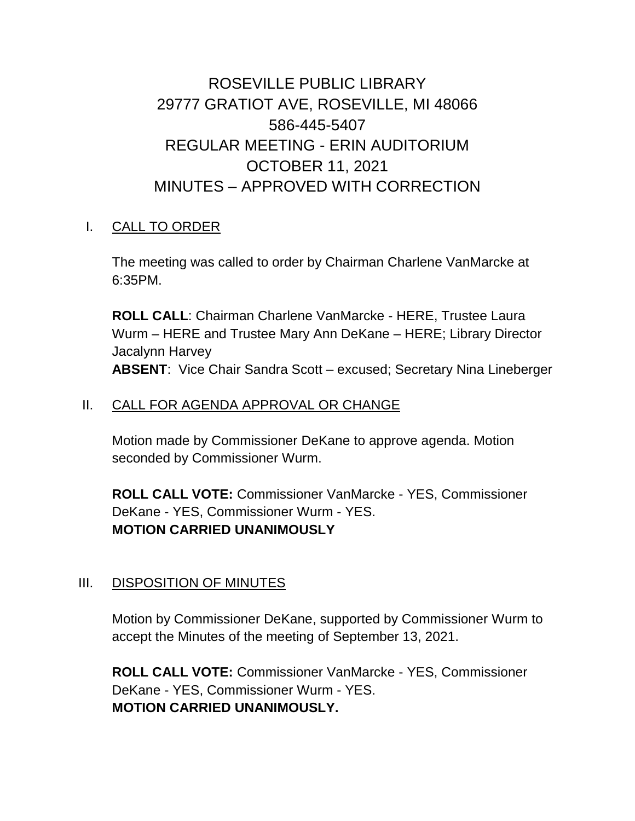# ROSEVILLE PUBLIC LIBRARY 29777 GRATIOT AVE, ROSEVILLE, MI 48066 586-445-5407 REGULAR MEETING - ERIN AUDITORIUM OCTOBER 11, 2021 MINUTES – APPROVED WITH CORRECTION

## I. CALL TO ORDER

The meeting was called to order by Chairman Charlene VanMarcke at 6:35PM.

**ROLL CALL**: Chairman Charlene VanMarcke - HERE, Trustee Laura Wurm – HERE and Trustee Mary Ann DeKane – HERE; Library Director Jacalynn Harvey **ABSENT**: Vice Chair Sandra Scott – excused; Secretary Nina Lineberger

## II. CALL FOR AGENDA APPROVAL OR CHANGE

Motion made by Commissioner DeKane to approve agenda. Motion seconded by Commissioner Wurm.

**ROLL CALL VOTE:** Commissioner VanMarcke - YES, Commissioner DeKane - YES, Commissioner Wurm - YES. **MOTION CARRIED UNANIMOUSLY**

## III. DISPOSITION OF MINUTES

Motion by Commissioner DeKane, supported by Commissioner Wurm to accept the Minutes of the meeting of September 13, 2021.

**ROLL CALL VOTE:** Commissioner VanMarcke - YES, Commissioner DeKane - YES, Commissioner Wurm - YES. **MOTION CARRIED UNANIMOUSLY.**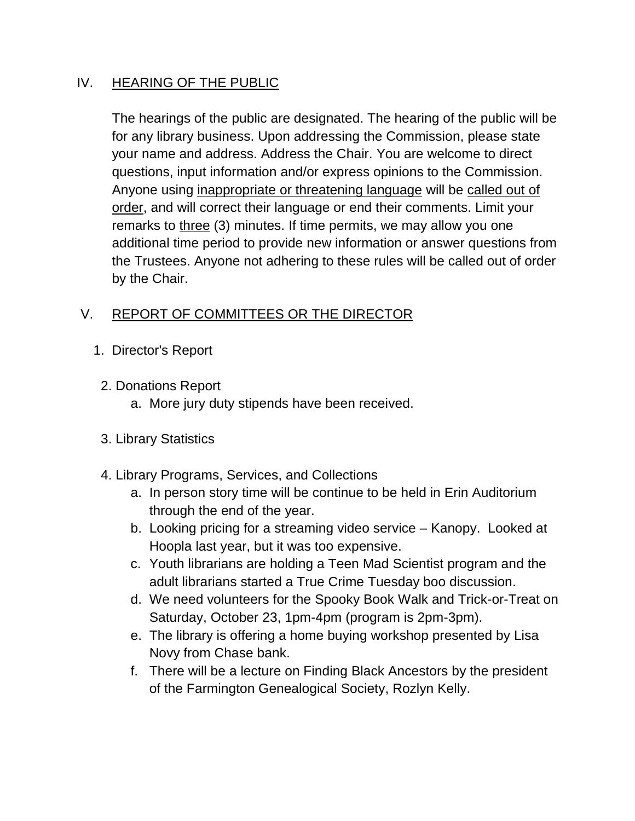## IV. HEARING OF THE PUBLIC

The hearings of the public are designated. The hearing of the public will be for any library business. Upon addressing the Commission, please state your name and address. Address the Chair. You are welcome to direct questions, input information and/or express opinions to the Commission. Anyone using inappropriate or threatening language will be called out of order, and will correct their language or end their comments. Limit your remarks to three (3) minutes. If time permits, we may allow you one additional time period to provide new information or answer questions from the Trustees. Anyone not adhering to these rules will be called out of order by the Chair.

# V. REPORT OF COMMITTEES OR THE DIRECTOR

- 1. Director's Report
- 2. Donations Report
	- a. More jury duty stipends have been received.
- 3. Library Statistics
- 4. Library Programs, Services, and Collections
	- a. In person story time will be continue to be held in Erin Auditorium through the end of the year.
	- b. Looking pricing for a streaming video service Kanopy. Looked at Hoopla last year, but it was too expensive.
	- c. Youth librarians are holding a Teen Mad Scientist program and the adult librarians started a True Crime Tuesday boo discussion.
	- d. We need volunteers for the Spooky Book Walk and Trick-or-Treat on Saturday, October 23, 1pm-4pm (program is 2pm-3pm).
	- e. The library is offering a home buying workshop presented by Lisa Novy from Chase bank.
	- f. There will be a lecture on Finding Black Ancestors by the president of the Farmington Genealogical Society, Rozlyn Kelly.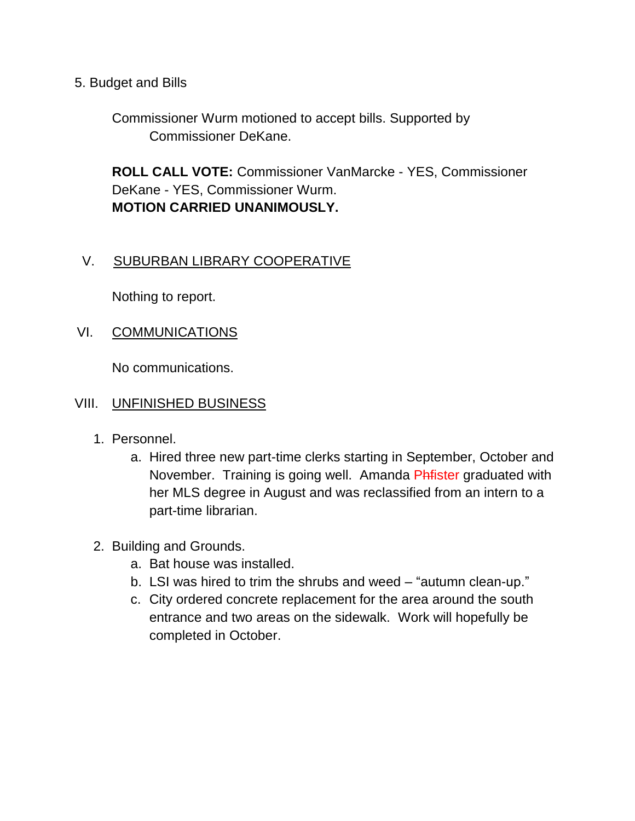5. Budget and Bills

Commissioner Wurm motioned to accept bills. Supported by Commissioner DeKane.

**ROLL CALL VOTE:** Commissioner VanMarcke - YES, Commissioner DeKane - YES, Commissioner Wurm. **MOTION CARRIED UNANIMOUSLY.**

## V. SUBURBAN LIBRARY COOPERATIVE

Nothing to report.

## VI. COMMUNICATIONS

No communications.

#### VIII. UNFINISHED BUSINESS

- 1. Personnel.
	- a. Hired three new part-time clerks starting in September, October and November. Training is going well. Amanda Phfister graduated with her MLS degree in August and was reclassified from an intern to a part-time librarian.
- 2. Building and Grounds.
	- a. Bat house was installed.
	- b. LSI was hired to trim the shrubs and weed "autumn clean-up."
	- c. City ordered concrete replacement for the area around the south entrance and two areas on the sidewalk. Work will hopefully be completed in October.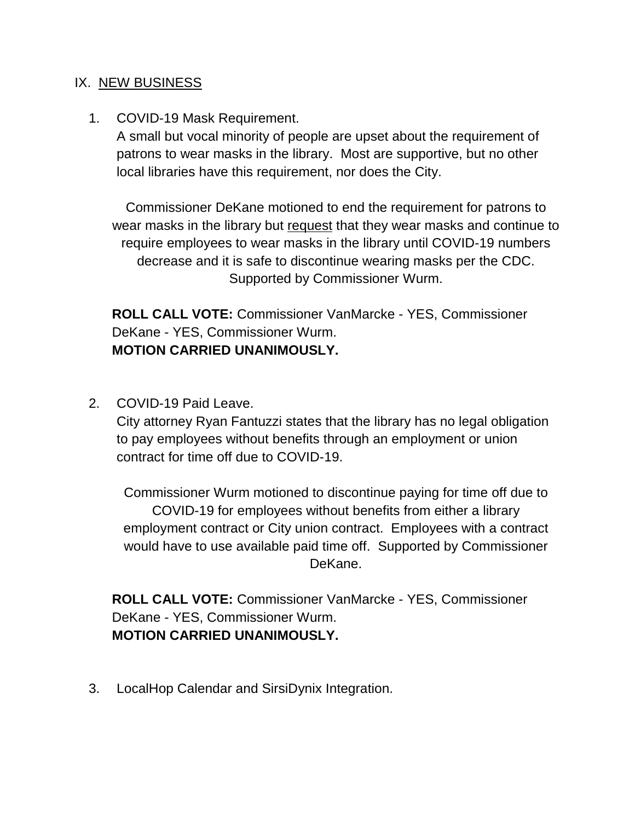#### IX. NEW BUSINESS

#### 1. COVID-19 Mask Requirement.

A small but vocal minority of people are upset about the requirement of patrons to wear masks in the library. Most are supportive, but no other local libraries have this requirement, nor does the City.

Commissioner DeKane motioned to end the requirement for patrons to wear masks in the library but request that they wear masks and continue to require employees to wear masks in the library until COVID-19 numbers decrease and it is safe to discontinue wearing masks per the CDC. Supported by Commissioner Wurm.

**ROLL CALL VOTE:** Commissioner VanMarcke - YES, Commissioner DeKane - YES, Commissioner Wurm. **MOTION CARRIED UNANIMOUSLY.**

2. COVID-19 Paid Leave.

City attorney Ryan Fantuzzi states that the library has no legal obligation to pay employees without benefits through an employment or union contract for time off due to COVID-19.

Commissioner Wurm motioned to discontinue paying for time off due to COVID-19 for employees without benefits from either a library employment contract or City union contract. Employees with a contract would have to use available paid time off. Supported by Commissioner DeKane.

**ROLL CALL VOTE:** Commissioner VanMarcke - YES, Commissioner DeKane - YES, Commissioner Wurm. **MOTION CARRIED UNANIMOUSLY.**

3. LocalHop Calendar and SirsiDynix Integration.